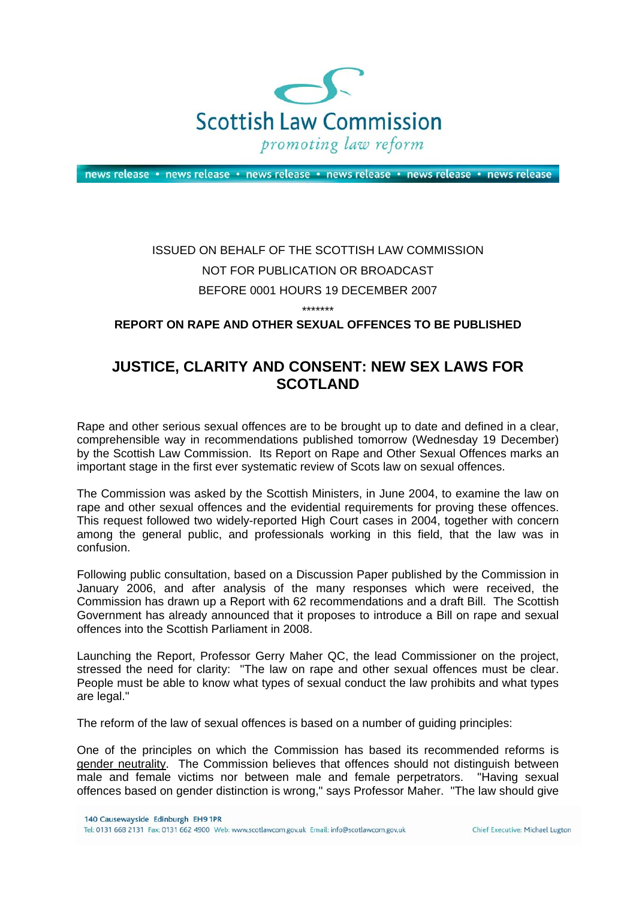

news release · news release · news release · news release · news release · news release

# ISSUED ON BEHALF OF THE SCOTTISH LAW COMMISSION NOT FOR PUBLICATION OR BROADCAST BEFORE 0001 HOURS 19 DECEMBER 2007

\*\*\*\*\*\*\*

# **REPORT ON RAPE AND OTHER SEXUAL OFFENCES TO BE PUBLISHED**

# **JUSTICE, CLARITY AND CONSENT: NEW SEX LAWS FOR SCOTLAND**

Rape and other serious sexual offences are to be brought up to date and defined in a clear, comprehensible way in recommendations published tomorrow (Wednesday 19 December) by the Scottish Law Commission. Its Report on Rape and Other Sexual Offences marks an important stage in the first ever systematic review of Scots law on sexual offences.

The Commission was asked by the Scottish Ministers, in June 2004, to examine the law on rape and other sexual offences and the evidential requirements for proving these offences. This request followed two widely-reported High Court cases in 2004, together with concern among the general public, and professionals working in this field, that the law was in confusion.

Following public consultation, based on a Discussion Paper published by the Commission in January 2006, and after analysis of the many responses which were received, the Commission has drawn up a Report with 62 recommendations and a draft Bill. The Scottish Government has already announced that it proposes to introduce a Bill on rape and sexual offences into the Scottish Parliament in 2008.

Launching the Report, Professor Gerry Maher QC, the lead Commissioner on the project, stressed the need for clarity: "The law on rape and other sexual offences must be clear. People must be able to know what types of sexual conduct the law prohibits and what types are legal."

The reform of the law of sexual offences is based on a number of guiding principles:

One of the principles on which the Commission has based its recommended reforms is gender neutrality. The Commission believes that offences should not distinguish between male and female victims nor between male and female perpetrators. "Having sexual offences based on gender distinction is wrong," says Professor Maher. "The law should give

Chief Executive: Michael Lugton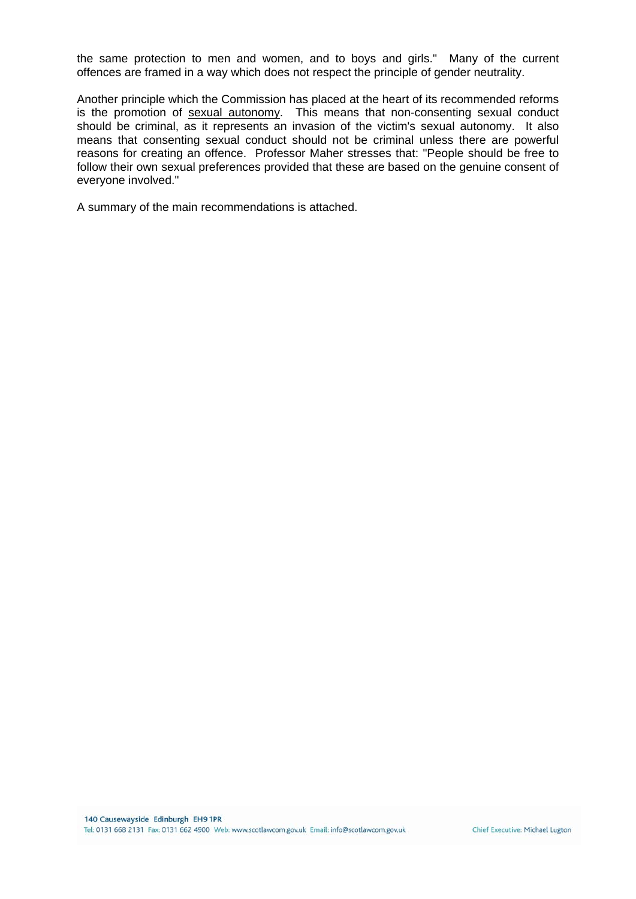the same protection to men and women, and to boys and girls." Many of the current offences are framed in a way which does not respect the principle of gender neutrality.

Another principle which the Commission has placed at the heart of its recommended reforms is the promotion of sexual autonomy. This means that non-consenting sexual conduct should be criminal, as it represents an invasion of the victim's sexual autonomy. It also means that consenting sexual conduct should not be criminal unless there are powerful reasons for creating an offence. Professor Maher stresses that: "People should be free to follow their own sexual preferences provided that these are based on the genuine consent of everyone involved."

A summary of the main recommendations is attached.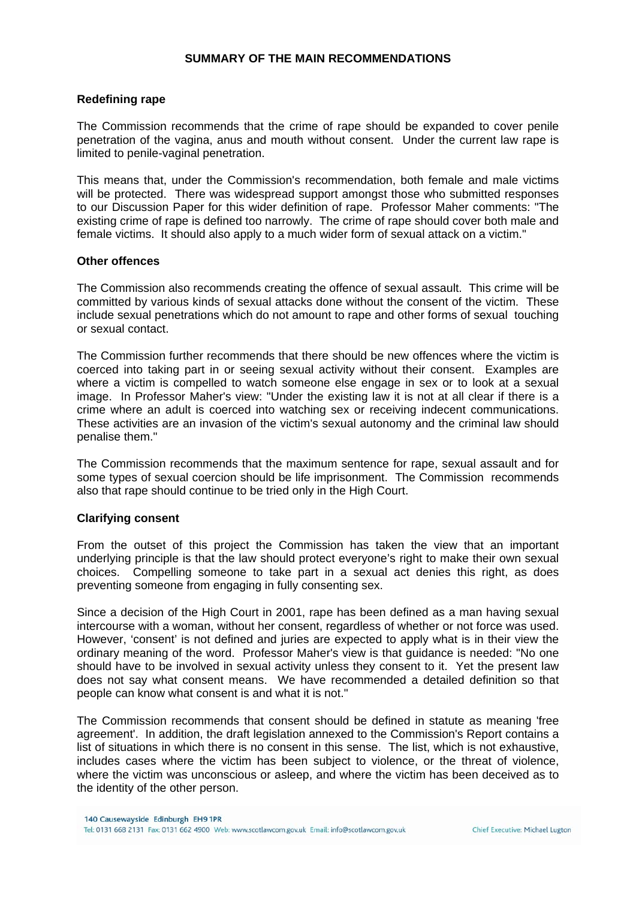#### **SUMMARY OF THE MAIN RECOMMENDATIONS**

#### **Redefining rape**

The Commission recommends that the crime of rape should be expanded to cover penile penetration of the vagina, anus and mouth without consent. Under the current law rape is limited to penile-vaginal penetration.

This means that, under the Commission's recommendation, both female and male victims will be protected. There was widespread support amongst those who submitted responses to our Discussion Paper for this wider definition of rape. Professor Maher comments: "The existing crime of rape is defined too narrowly. The crime of rape should cover both male and female victims. It should also apply to a much wider form of sexual attack on a victim."

#### **Other offences**

The Commission also recommends creating the offence of sexual assault. This crime will be committed by various kinds of sexual attacks done without the consent of the victim. These include sexual penetrations which do not amount to rape and other forms of sexual touching or sexual contact.

The Commission further recommends that there should be new offences where the victim is coerced into taking part in or seeing sexual activity without their consent. Examples are where a victim is compelled to watch someone else engage in sex or to look at a sexual image. In Professor Maher's view: "Under the existing law it is not at all clear if there is a crime where an adult is coerced into watching sex or receiving indecent communications. These activities are an invasion of the victim's sexual autonomy and the criminal law should penalise them."

The Commission recommends that the maximum sentence for rape, sexual assault and for some types of sexual coercion should be life imprisonment. The Commission recommends also that rape should continue to be tried only in the High Court.

#### **Clarifying consent**

From the outset of this project the Commission has taken the view that an important underlying principle is that the law should protect everyone's right to make their own sexual choices. Compelling someone to take part in a sexual act denies this right, as does preventing someone from engaging in fully consenting sex.

Since a decision of the High Court in 2001, rape has been defined as a man having sexual intercourse with a woman, without her consent, regardless of whether or not force was used. However, 'consent' is not defined and juries are expected to apply what is in their view the ordinary meaning of the word. Professor Maher's view is that guidance is needed: "No one should have to be involved in sexual activity unless they consent to it. Yet the present law does not say what consent means. We have recommended a detailed definition so that people can know what consent is and what it is not."

The Commission recommends that consent should be defined in statute as meaning 'free agreement'. In addition, the draft legislation annexed to the Commission's Report contains a list of situations in which there is no consent in this sense. The list, which is not exhaustive, includes cases where the victim has been subject to violence, or the threat of violence, where the victim was unconscious or asleep, and where the victim has been deceived as to the identity of the other person.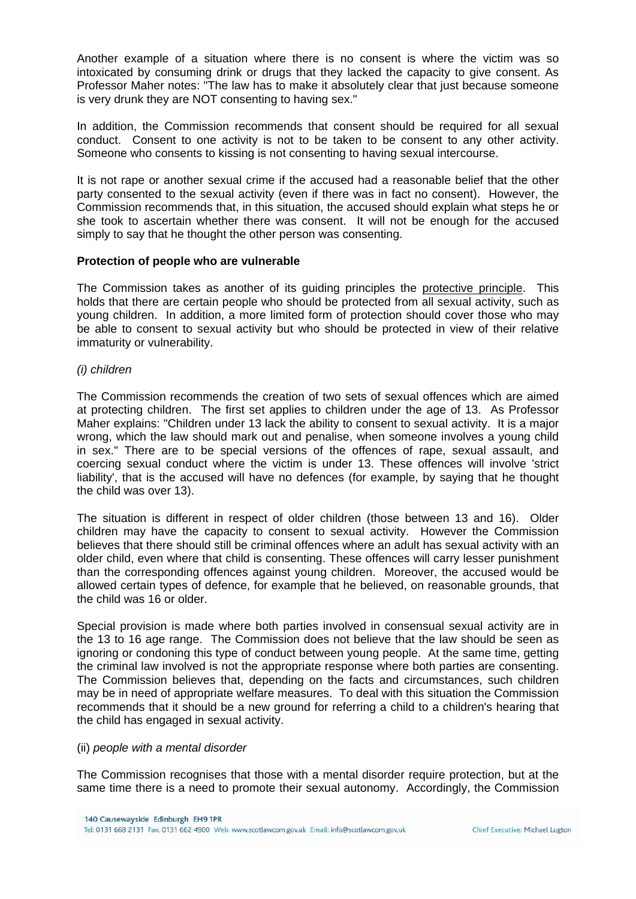Another example of a situation where there is no consent is where the victim was so intoxicated by consuming drink or drugs that they lacked the capacity to give consent. As Professor Maher notes: "The law has to make it absolutely clear that just because someone is very drunk they are NOT consenting to having sex."

In addition, the Commission recommends that consent should be required for all sexual conduct. Consent to one activity is not to be taken to be consent to any other activity. Someone who consents to kissing is not consenting to having sexual intercourse.

It is not rape or another sexual crime if the accused had a reasonable belief that the other party consented to the sexual activity (even if there was in fact no consent). However, the Commission recommends that, in this situation, the accused should explain what steps he or she took to ascertain whether there was consent. It will not be enough for the accused simply to say that he thought the other person was consenting.

# **Protection of people who are vulnerable**

The Commission takes as another of its guiding principles the protective principle. This holds that there are certain people who should be protected from all sexual activity, such as young children. In addition, a more limited form of protection should cover those who may be able to consent to sexual activity but who should be protected in view of their relative immaturity or vulnerability.

# *(i) children*

The Commission recommends the creation of two sets of sexual offences which are aimed at protecting children. The first set applies to children under the age of 13. As Professor Maher explains: "Children under 13 lack the ability to consent to sexual activity. It is a major wrong, which the law should mark out and penalise, when someone involves a young child in sex." There are to be special versions of the offences of rape, sexual assault, and coercing sexual conduct where the victim is under 13. These offences will involve 'strict liability', that is the accused will have no defences (for example, by saying that he thought the child was over 13).

The situation is different in respect of older children (those between 13 and 16). Older children may have the capacity to consent to sexual activity. However the Commission believes that there should still be criminal offences where an adult has sexual activity with an older child, even where that child is consenting. These offences will carry lesser punishment than the corresponding offences against young children. Moreover, the accused would be allowed certain types of defence, for example that he believed, on reasonable grounds, that the child was 16 or older.

Special provision is made where both parties involved in consensual sexual activity are in the 13 to 16 age range. The Commission does not believe that the law should be seen as ignoring or condoning this type of conduct between young people. At the same time, getting the criminal law involved is not the appropriate response where both parties are consenting. The Commission believes that, depending on the facts and circumstances, such children may be in need of appropriate welfare measures. To deal with this situation the Commission recommends that it should be a new ground for referring a child to a children's hearing that the child has engaged in sexual activity.

#### (ii) *people with a mental disorder*

The Commission recognises that those with a mental disorder require protection, but at the same time there is a need to promote their sexual autonomy. Accordingly, the Commission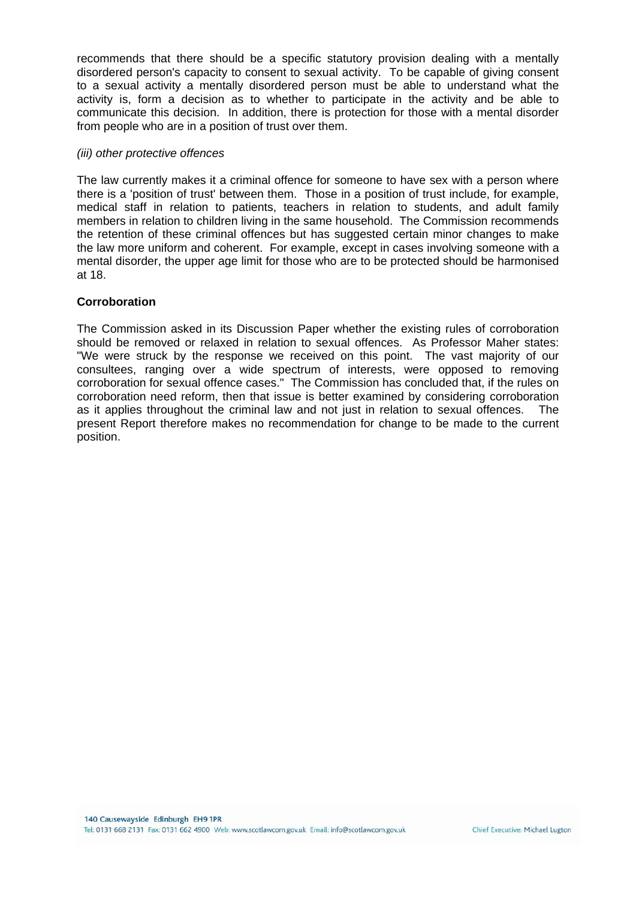recommends that there should be a specific statutory provision dealing with a mentally disordered person's capacity to consent to sexual activity. To be capable of giving consent to a sexual activity a mentally disordered person must be able to understand what the activity is, form a decision as to whether to participate in the activity and be able to communicate this decision. In addition, there is protection for those with a mental disorder from people who are in a position of trust over them.

#### *(iii) other protective offences*

The law currently makes it a criminal offence for someone to have sex with a person where there is a 'position of trust' between them. Those in a position of trust include, for example, medical staff in relation to patients, teachers in relation to students, and adult family members in relation to children living in the same household. The Commission recommends the retention of these criminal offences but has suggested certain minor changes to make the law more uniform and coherent. For example, except in cases involving someone with a mental disorder, the upper age limit for those who are to be protected should be harmonised at 18.

# **Corroboration**

The Commission asked in its Discussion Paper whether the existing rules of corroboration should be removed or relaxed in relation to sexual offences. As Professor Maher states: "We were struck by the response we received on this point. The vast majority of our consultees, ranging over a wide spectrum of interests, were opposed to removing corroboration for sexual offence cases." The Commission has concluded that, if the rules on corroboration need reform, then that issue is better examined by considering corroboration as it applies throughout the criminal law and not just in relation to sexual offences. The present Report therefore makes no recommendation for change to be made to the current position.